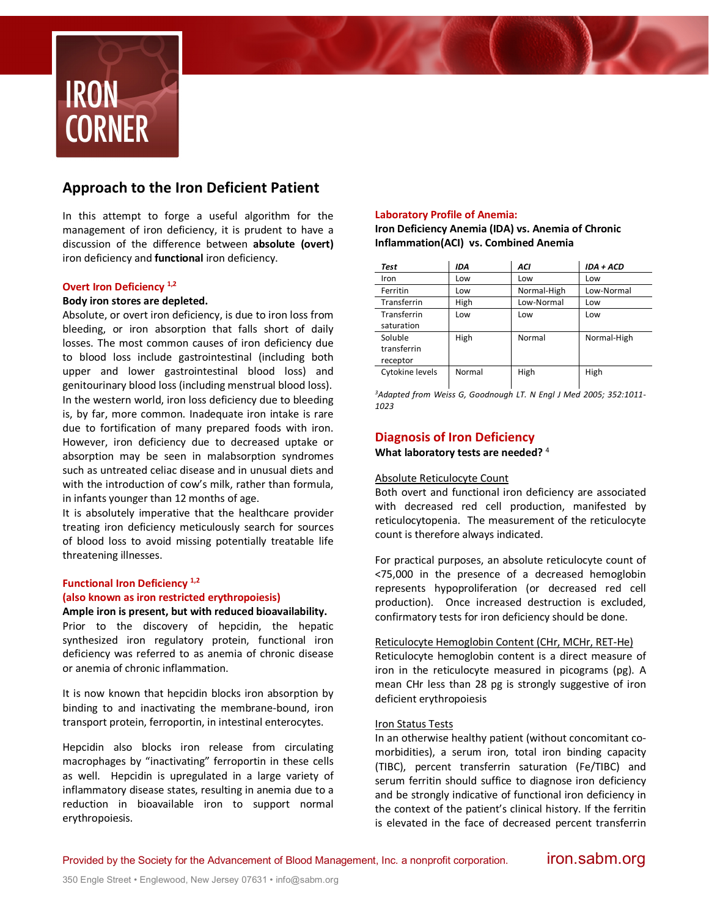

# **Approach to the Iron Deficient Patient**

In this attempt to forge a useful algorithm for the management of iron deficiency, it is prudent to have a discussion of the difference between **absolute (overt)** iron deficiency and **functional** iron deficiency.

## **Overt Iron Deficiency 1,2**

## **Body iron stores are depleted.**

Absolute, or overt iron deficiency, is due to iron loss from bleeding, or iron absorption that falls short of daily losses. The most common causes of iron deficiency due to blood loss include gastrointestinal (including both upper and lower gastrointestinal blood loss) and genitourinary blood loss (including menstrual blood loss). In the western world, iron loss deficiency due to bleeding is, by far, more common. Inadequate iron intake is rare due to fortification of many prepared foods with iron. However, iron deficiency due to decreased uptake or absorption may be seen in malabsorption syndromes such as untreated celiac disease and in unusual diets and with the introduction of cow's milk, rather than formula, in infants younger than 12 months of age.

It is absolutely imperative that the healthcare provider treating iron deficiency meticulously search for sources of blood loss to avoid missing potentially treatable life threatening illnesses.

# **Functional Iron Deficiency 1,2 (also known as iron restricted erythropoiesis)**

#### **Ample iron is present, but with reduced bioavailability.**

Prior to the discovery of hepcidin, the hepatic synthesized iron regulatory protein, functional iron deficiency was referred to as anemia of chronic disease or anemia of chronic inflammation.

It is now known that hepcidin blocks iron absorption by binding to and inactivating the membrane-bound, iron transport protein, ferroportin, in intestinal enterocytes.

Hepcidin also blocks iron release from circulating macrophages by "inactivating" ferroportin in these cells as well. Hepcidin is upregulated in a large variety of inflammatory disease states, resulting in anemia due to a reduction in bioavailable iron to support normal erythropoiesis.

## **Laboratory Profile of Anemia:**

**Iron Deficiency Anemia (IDA) vs. Anemia of Chronic Inflammation(ACI) vs. Combined Anemia**

| Test            | IDA    | ACI         | IDA + ACD   |
|-----------------|--------|-------------|-------------|
| Iron            | Low    | Low         | Low         |
| Ferritin        | Low    | Normal-High | Low-Normal  |
| Transferrin     | High   | Low-Normal  | Low         |
| Transferrin     | Low    | Low         | Low         |
| saturation      |        |             |             |
| Soluble         | High   | Normal      | Normal-High |
| transferrin     |        |             |             |
| receptor        |        |             |             |
| Cytokine levels | Normal | High        | High        |

*3Adapted from Weiss G, Goodnough LT. N Engl J Med 2005; 352:1011- 1023*

# **Diagnosis of Iron Deficiency**

**What laboratory tests are needed?** <sup>4</sup>

## Absolute Reticulocyte Count

Both overt and functional iron deficiency are associated with decreased red cell production, manifested by reticulocytopenia. The measurement of the reticulocyte count is therefore always indicated.

For practical purposes, an absolute reticulocyte count of <75,000 in the presence of a decreased hemoglobin represents hypoproliferation (or decreased red cell production). Once increased destruction is excluded, confirmatory tests for iron deficiency should be done.

#### Reticulocyte Hemoglobin Content (CHr, MCHr, RET-He)

Reticulocyte hemoglobin content is a direct measure of iron in the reticulocyte measured in picograms (pg). A mean CHr less than 28 pg is strongly suggestive of iron deficient erythropoiesis

## Iron Status Tests

In an otherwise healthy patient (without concomitant comorbidities), a serum iron, total iron binding capacity (TIBC), percent transferrin saturation (Fe/TIBC) and serum ferritin should suffice to diagnose iron deficiency and be strongly indicative of functional iron deficiency in the context of the patient's clinical history. If the ferritin is elevated in the face of decreased percent transferrin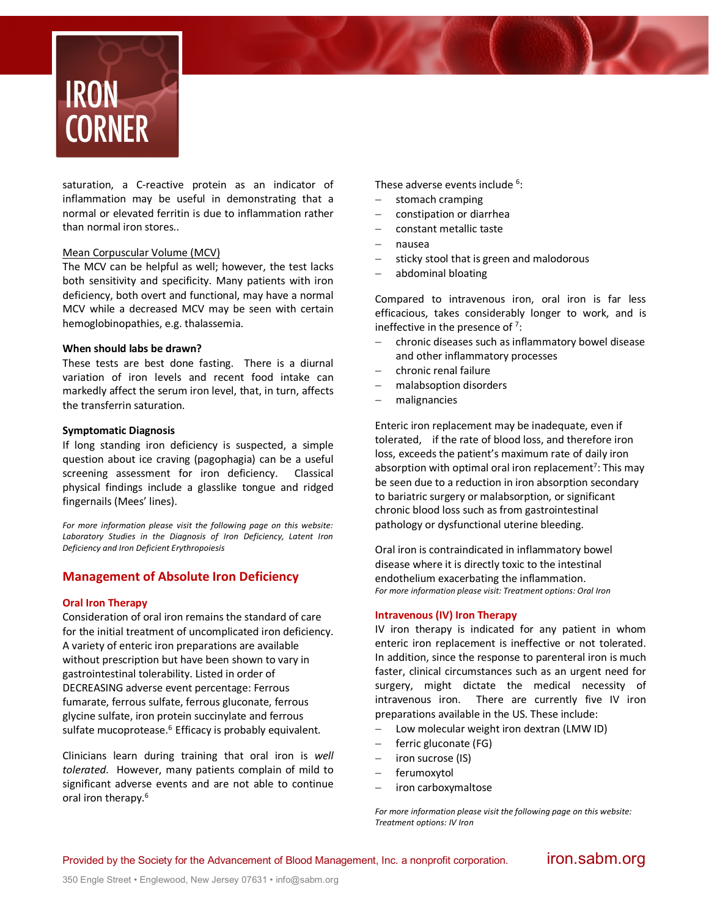

saturation, a C-reactive protein as an indicator of inflammation may be useful in demonstrating that a normal or elevated ferritin is due to inflammation rather than normal iron stores..

## Mean Corpuscular Volume (MCV)

The MCV can be helpful as well; however, the test lacks both sensitivity and specificity. Many patients with iron deficiency, both overt and functional, may have a normal MCV while a decreased MCV may be seen with certain hemoglobinopathies, e.g. thalassemia.

#### **When should labs be drawn?**

These tests are best done fasting. There is a diurnal variation of iron levels and recent food intake can markedly affect the serum iron level, that, in turn, affects the transferrin saturation.

#### **Symptomatic Diagnosis**

If long standing iron deficiency is suspected, a simple question about ice craving (pagophagia) can be a useful screening assessment for iron deficiency. Classical physical findings include a glasslike tongue and ridged fingernails (Mees' lines).

*For more information please visit the following page on this website: Laboratory Studies in the Diagnosis of Iron Deficiency, Latent Iron Deficiency and Iron Deficient Erythropoiesis*

## **Management of Absolute Iron Deficiency**

#### **Oral Iron Therapy**

Consideration of oral iron remains the standard of care for the initial treatment of uncomplicated iron deficiency. A variety of enteric iron preparations are available without prescription but have been shown to vary in gastrointestinal tolerability. Listed in order of DECREASING adverse event percentage: Ferrous fumarate, ferrous sulfate, ferrous gluconate, ferrous glycine sulfate, iron protein succinylate and ferrous sulfate mucoprotease. $6$  Efficacy is probably equivalent.

Clinicians learn during training that oral iron is *well tolerated*. However, many patients complain of mild to significant adverse events and are not able to continue oral iron therapy.<sup>6</sup>

These adverse events include <sup>6</sup>:

- stomach cramping
- constipation or diarrhea
- constant metallic taste
- nausea
- sticky stool that is green and malodorous
- abdominal bloating

Compared to intravenous iron, oral iron is far less efficacious, takes considerably longer to work, and is ineffective in the presence of  $7$ :

- chronic diseases such as inflammatory bowel disease and other inflammatory processes
- chronic renal failure
- malabsoption disorders
- malignancies

Enteric iron replacement may be inadequate, even if tolerated, if the rate of blood loss, and therefore iron loss, exceeds the patient's maximum rate of daily iron absorption with optimal oral iron replacement<sup>7</sup>: This may be seen due to a reduction in iron absorption secondary to bariatric surgery or malabsorption, or significant chronic blood loss such as from gastrointestinal pathology or dysfunctional uterine bleeding.

Oral iron is contraindicated in inflammatory bowel disease where it is directly toxic to the intestinal endothelium exacerbating the inflammation. *For more information please visit: Treatment options: Oral Iron*

#### **Intravenous (IV) Iron Therapy**

IV iron therapy is indicated for any patient in whom enteric iron replacement is ineffective or not tolerated. In addition, since the response to parenteral iron is much faster, clinical circumstances such as an urgent need for surgery, might dictate the medical necessity of intravenous iron. There are currently five IV iron preparations available in the US. These include:

- Low molecular weight iron dextran (LMW ID)
- ferric gluconate (FG)
- iron sucrose (IS)
- ferumoxytol
- iron carboxymaltose

*For more information please visit the following page on this website: Treatment options: IV Iron*

Provided by the Society for the Advancement of Blood Management, Inc. a nonprofit corporation. **iron.sabm.org**